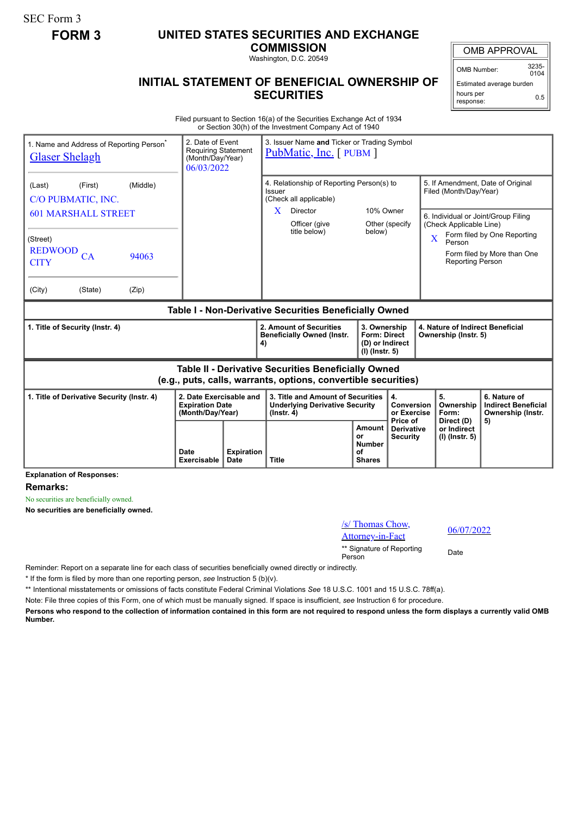SEC Form 3

## **FORM 3 UNITED STATES SECURITIES AND EXCHANGE**

**COMMISSION**

Washington, D.C. 20549

## **INITIAL STATEMENT OF BENEFICIAL OWNERSHIP OF SECURITIES**

OMB APPROVAL

 $0104$ 

Estimated average burden hours per 0.5

Filed pursuant to Section 16(a) of the Securities Exchange Act of 1934 or Section 30(h) of the Investment Company Act of 1940

| 1. Name and Address of Reporting Person <sup>®</sup><br><b>Glaser Shelagh</b>                                                |         |                     | 2. Date of Event<br><b>Requiring Statement</b><br>(Month/Day/Year)<br>06/03/2022 |              | 3. Issuer Name and Ticker or Trading Symbol<br><b>PubMatic, Inc.</b> [PUBM ]                   |                                                                                              |                                                                            |                                                                                                                            |                                                          |                                     |                                                                       |  |
|------------------------------------------------------------------------------------------------------------------------------|---------|---------------------|----------------------------------------------------------------------------------|--------------|------------------------------------------------------------------------------------------------|----------------------------------------------------------------------------------------------|----------------------------------------------------------------------------|----------------------------------------------------------------------------------------------------------------------------|----------------------------------------------------------|-------------------------------------|-----------------------------------------------------------------------|--|
| (First)<br>(Last)<br>C/O PUBMATIC, INC.                                                                                      |         | (Middle)            |                                                                                  |              | 4. Relationship of Reporting Person(s) to<br>Issuer<br>(Check all applicable)                  |                                                                                              |                                                                            | 5. If Amendment, Date of Original<br>Filed (Month/Day/Year)                                                                |                                                          |                                     |                                                                       |  |
| <b>601 MARSHALL STREET</b>                                                                                                   |         |                     |                                                                                  |              | X.                                                                                             | Director<br>Officer (give                                                                    | 10% Owner<br>Other (specify                                                |                                                                                                                            |                                                          | 6. Individual or Joint/Group Filing |                                                                       |  |
| (Street)<br><b>REDWOOD</b><br>CA<br>94063                                                                                    |         |                     |                                                                                  | title below) | below)                                                                                         |                                                                                              |                                                                            | (Check Applicable Line)<br>Form filed by One Reporting<br>$\overline{\mathbf{X}}$<br>Person<br>Form filed by More than One |                                                          |                                     |                                                                       |  |
| <b>CITY</b>                                                                                                                  |         |                     |                                                                                  |              |                                                                                                |                                                                                              |                                                                            |                                                                                                                            |                                                          | Reporting Person                    |                                                                       |  |
| (City)                                                                                                                       | (State) | (Zip)               |                                                                                  |              |                                                                                                |                                                                                              |                                                                            |                                                                                                                            |                                                          |                                     |                                                                       |  |
| Table I - Non-Derivative Securities Beneficially Owned                                                                       |         |                     |                                                                                  |              |                                                                                                |                                                                                              |                                                                            |                                                                                                                            |                                                          |                                     |                                                                       |  |
| 1. Title of Security (Instr. 4)                                                                                              |         |                     |                                                                                  |              | 4)                                                                                             | 2. Amount of Securities<br><b>Beneficially Owned (Instr.</b>                                 | 3. Ownership<br><b>Form: Direct</b><br>(D) or Indirect<br>$(I)$ (lnstr. 5) |                                                                                                                            | 4. Nature of Indirect Beneficial<br>Ownership (Instr. 5) |                                     |                                                                       |  |
| <b>Table II - Derivative Securities Beneficially Owned</b><br>(e.g., puts, calls, warrants, options, convertible securities) |         |                     |                                                                                  |              |                                                                                                |                                                                                              |                                                                            |                                                                                                                            |                                                          |                                     |                                                                       |  |
| 1. Title of Derivative Security (Instr. 4)                                                                                   |         |                     | 2. Date Exercisable and<br><b>Expiration Date</b><br>(Month/Day/Year)            |              | 3. Title and Amount of Securities<br><b>Underlying Derivative Security</b><br>$($ lnstr. 4 $)$ |                                                                                              |                                                                            | 4.<br>Conversion<br>or Exercise<br>Price of                                                                                |                                                          | 5.<br>Ownership<br>Form:            | 6. Nature of<br><b>Indirect Beneficial</b><br>Ownership (Instr.<br>5) |  |
|                                                                                                                              |         | Date<br>Exercisable | <b>Expiration</b><br><b>Title</b><br>Date                                        |              |                                                                                                | Amount<br><b>Derivative</b><br>or<br><b>Security</b><br><b>Number</b><br>Ωf<br><b>Shares</b> |                                                                            |                                                                                                                            | Direct (D)<br>or Indirect<br>$(I)$ (Instr. 5)            |                                     |                                                                       |  |

**Explanation of Responses:**

**Remarks:**

No securities are beneficially owned.

**No securities are beneficially owned.**

| $\sqrt{s}$ Thomas Chow,<br><b>Attorney-in-Fact</b> | 06/07/2022 |
|----------------------------------------------------|------------|
| ** Signature of Reporting<br>Person                | Date       |

Reminder: Report on a separate line for each class of securities beneficially owned directly or indirectly.

\* If the form is filed by more than one reporting person, *see* Instruction 5 (b)(v).

\*\* Intentional misstatements or omissions of facts constitute Federal Criminal Violations *See* 18 U.S.C. 1001 and 15 U.S.C. 78ff(a).

Note: File three copies of this Form, one of which must be manually signed. If space is insufficient, *see* Instruction 6 for procedure.

**Persons who respond to the collection of information contained in this form are not required to respond unless the form displays a currently valid OMB Number.**

OMB Number: 3235-

response: